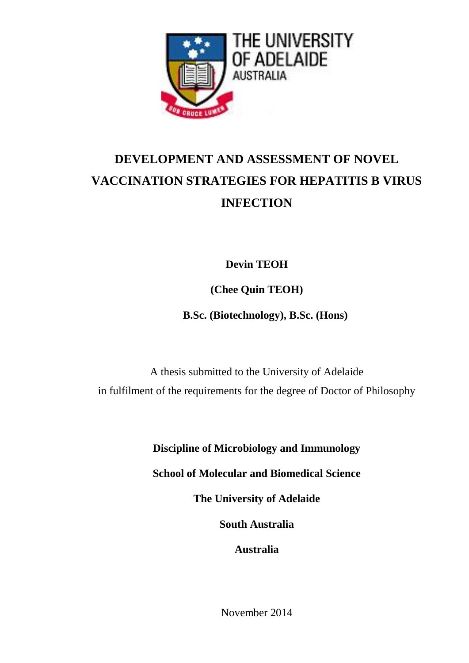

# **DEVELOPMENT AND ASSESSMENT OF NOVEL VACCINATION STRATEGIES FOR HEPATITIS B VIRUS INFECTION**

**Devin TEOH**

**(Chee Quin TEOH)**

 **B.Sc. (Biotechnology), B.Sc. (Hons)**

A thesis submitted to the University of Adelaide in fulfilment of the requirements for the degree of Doctor of Philosophy

**Discipline of Microbiology and Immunology**

**School of Molecular and Biomedical Science**

**The University of Adelaide**

**South Australia**

**Australia**

November 2014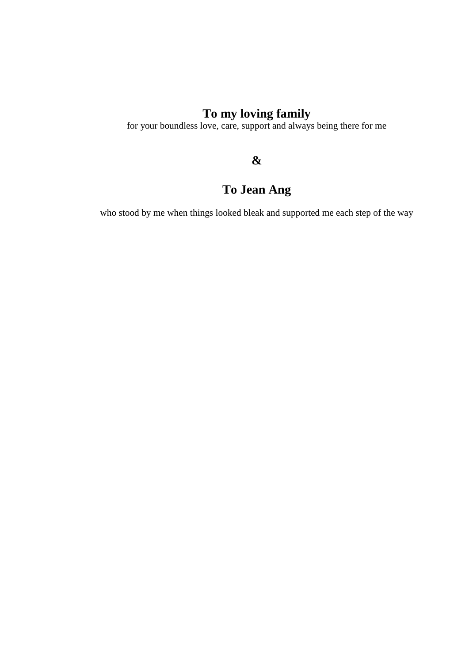## **To my loving family**

for your boundless love, care, support and always being there for me

### **&**

## **To Jean Ang**

who stood by me when things looked bleak and supported me each step of the way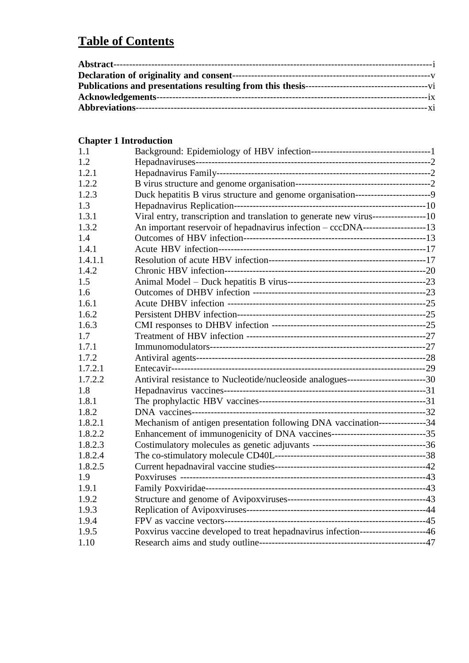## **Table of Contents**

### **Chapter 1 Introduction**

| 1.1     |                                                                                      |  |
|---------|--------------------------------------------------------------------------------------|--|
| 1.2     |                                                                                      |  |
| 1.2.1   |                                                                                      |  |
| 1.2.2   |                                                                                      |  |
| 1.2.3   | Duck hepatitis B virus structure and genome organisation-------------------------9   |  |
| 1.3     |                                                                                      |  |
| 1.3.1   | Viral entry, transcription and translation to generate new virus------------------10 |  |
| 1.3.2   | An important reservoir of hepadnavirus infection - cccDNA---------------------13     |  |
| 1.4     |                                                                                      |  |
| 1.4.1   |                                                                                      |  |
| 1.4.1.1 |                                                                                      |  |
| 1.4.2   |                                                                                      |  |
| 1.5     |                                                                                      |  |
| 1.6     |                                                                                      |  |
| 1.6.1   |                                                                                      |  |
| 1.6.2   |                                                                                      |  |
| 1.6.3   |                                                                                      |  |
| 1.7     |                                                                                      |  |
| 1.7.1   |                                                                                      |  |
| 1.7.2   |                                                                                      |  |
| 1.7.2.1 |                                                                                      |  |
| 1.7.2.2 | Antiviral resistance to Nucleotide/nucleoside analogues---------------------------30 |  |
| 1.8     |                                                                                      |  |
| 1.8.1   |                                                                                      |  |
| 1.8.2   |                                                                                      |  |
| 1.8.2.1 | Mechanism of antigen presentation following DNA vaccination---------------34         |  |
| 1.8.2.2 |                                                                                      |  |
| 1.8.2.3 |                                                                                      |  |
| 1.8.2.4 |                                                                                      |  |
| 1.8.2.5 |                                                                                      |  |
| 1.9     |                                                                                      |  |
| 1.9.1   |                                                                                      |  |
| 1.9.2   |                                                                                      |  |
| 1.9.3   |                                                                                      |  |
| 1.9.4   |                                                                                      |  |
| 1.9.5   | Poxvirus vaccine developed to treat hepadnavirus infection---------------------46    |  |
| 1.10    |                                                                                      |  |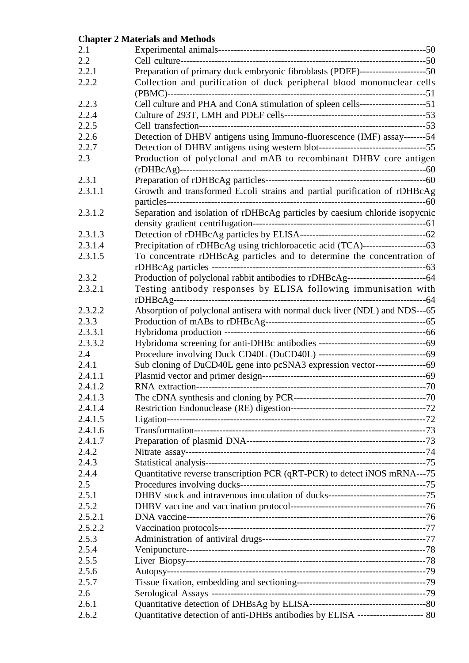#### **Chapter 2 Materials and Methods**

| 2.1     |                                                                                     |  |
|---------|-------------------------------------------------------------------------------------|--|
| 2.2     |                                                                                     |  |
| 2.2.1   | Preparation of primary duck embryonic fibroblasts (PDEF)---------------------50     |  |
| 2.2.2   | Collection and purification of duck peripheral blood mononuclear cells              |  |
| 2.2.3   | Cell culture and PHA and ConA stimulation of spleen cells----------------------51   |  |
| 2.2.4   |                                                                                     |  |
| 2.2.5   |                                                                                     |  |
| 2.2.6   | Detection of DHBV antigens using Immuno-fluorescence (IMF) assay-------54           |  |
| 2.2.7   |                                                                                     |  |
| 2.3     | Production of polyclonal and mAB to recombinant DHBV core antigen                   |  |
| 2.3.1   |                                                                                     |  |
| 2.3.1.1 | Growth and transformed E.coli strains and partial purification of rDHBcAg           |  |
| 2.3.1.2 | Separation and isolation of rDHBcAg particles by caesium chloride isopycnic         |  |
| 2.3.1.3 |                                                                                     |  |
| 2.3.1.4 | Precipitation of rDHBcAg using trichloroacetic acid (TCA)------------------------63 |  |
| 2.3.1.5 | To concentrate rDHBcAg particles and to determine the concentration of              |  |
| 2.3.2   |                                                                                     |  |
| 2.3.2.1 | Testing antibody responses by ELISA following immunisation with                     |  |
| 2.3.2.2 | Absorption of polyclonal antisera with normal duck liver (NDL) and NDS---65         |  |
| 2.3.3   |                                                                                     |  |
| 2.3.3.1 |                                                                                     |  |
| 2.3.3.2 |                                                                                     |  |
| 2.4     |                                                                                     |  |
| 2.4.1   | Sub cloning of DuCD40L gene into pcSNA3 expression vector--------------------69     |  |
| 2.4.1.1 |                                                                                     |  |
| 2.4.1.2 |                                                                                     |  |
| 2.4.1.3 |                                                                                     |  |
| 2.4.1.4 |                                                                                     |  |
| 2.4.1.5 |                                                                                     |  |
| 2.4.1.6 |                                                                                     |  |
| 2.4.1.7 |                                                                                     |  |
| 2.4.2   |                                                                                     |  |
| 2.4.3   |                                                                                     |  |
| 2.4.4   | Quantitative reverse transcription PCR (qRT-PCR) to detect iNOS mRNA---75           |  |
| 2.5     |                                                                                     |  |
| 2.5.1   |                                                                                     |  |
| 2.5.2   |                                                                                     |  |
| 2.5.2.1 |                                                                                     |  |
| 2.5.2.2 |                                                                                     |  |
| 2.5.3   |                                                                                     |  |
| 2.5.4   |                                                                                     |  |
| 2.5.5   |                                                                                     |  |
| 2.5.6   |                                                                                     |  |
| 2.5.7   |                                                                                     |  |
| 2.6     |                                                                                     |  |
| 2.6.1   |                                                                                     |  |
| 2.6.2   | Quantitative detection of anti-DHBs antibodies by ELISA ----------------------- 80  |  |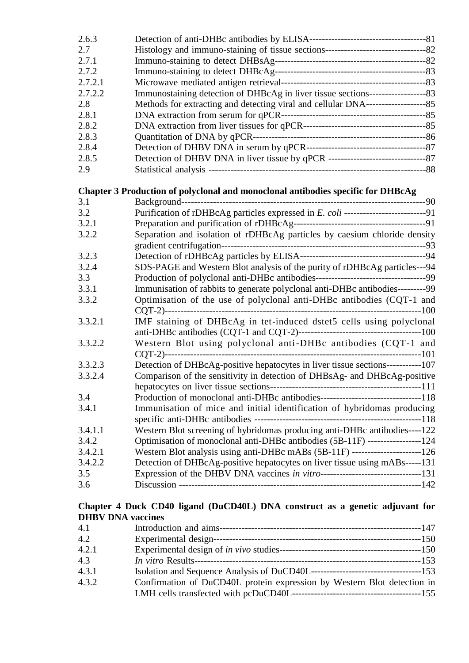| 2.6.3   |                                                                                        |  |
|---------|----------------------------------------------------------------------------------------|--|
| 2.7     |                                                                                        |  |
| 2.7.1   |                                                                                        |  |
| 2.7.2   |                                                                                        |  |
| 2.7.2.1 |                                                                                        |  |
| 2.7.2.2 | Immunostaining detection of DHBcAg in liver tissue sections----------------------83    |  |
| 2.8     | Methods for extracting and detecting viral and cellular DNA-------------------------85 |  |
| 2.8.1   |                                                                                        |  |
| 2.8.2   |                                                                                        |  |
| 2.8.3   |                                                                                        |  |
| 2.8.4   |                                                                                        |  |
| 2.8.5   |                                                                                        |  |
| 2.9     |                                                                                        |  |
|         |                                                                                        |  |
|         | Chapter 3 Production of polyclonal and monoclonal antibodies specific for DHBcAg       |  |
| 3.1     |                                                                                        |  |
| 3.2     |                                                                                        |  |
| 3.2.1   |                                                                                        |  |
| 3.2.2   | Separation and isolation of rDHBcAg particles by caesium chloride density              |  |
|         |                                                                                        |  |
| 3.2.3   |                                                                                        |  |
| 3.2.4   | SDS-PAGE and Western Blot analysis of the purity of rDHBcAg particles---94             |  |
| 3.3     |                                                                                        |  |
| 3.3.1   | Immunisation of rabbits to generate polyclonal anti-DHBc antibodies---------99         |  |
| 3.3.2   | Optimisation of the use of polyclonal anti-DHBc antibodies (CQT-1 and                  |  |
|         |                                                                                        |  |
| 3.3.2.1 | IMF staining of DHBcAg in tet-induced dstet5 cells using polyclonal                    |  |
|         |                                                                                        |  |
| 3.3.2.2 | Western Blot using polyclonal anti-DHBc antibodies (CQT-1 and                          |  |
|         |                                                                                        |  |
| 3.3.2.3 | Detection of DHBcAg-positive hepatocytes in liver tissue sections-----------107        |  |
| 3.3.2.4 | Comparison of the sensitivity in detection of DHBsAg- and DHBcAg-positive              |  |
|         |                                                                                        |  |
| 3.4     | Production of monoclonal anti-DHBc antibodies----------------------------------118     |  |
| 3.4.1   | Immunisation of mice and initial identification of hybridomas producing                |  |
|         |                                                                                        |  |
| 3.4.1.1 | Western Blot screening of hybridomas producing anti-DHBc antibodies----122             |  |
| 3.4.2   | Optimisation of monoclonal anti-DHBc antibodies (5B-11F) -----------------124          |  |
| 3.4.2.1 | Western Blot analysis using anti-DHBc mABs (5B-11F) --------------------------126      |  |
| 3.4.2.2 | Detection of DHBcAg-positive hepatocytes on liver tissue using mABs-----131            |  |
| 3.5     |                                                                                        |  |
| 3.6     |                                                                                        |  |
|         |                                                                                        |  |

#### **Chapter 4 Duck CD40 ligand (DuCD40L) DNA construct as a genetic adjuvant for DHBV DNA vaccines**

| 4.1   |                                                                         |
|-------|-------------------------------------------------------------------------|
| 4.2   |                                                                         |
| 4.2.1 |                                                                         |
| 4.3   |                                                                         |
| 4.3.1 |                                                                         |
| 4.3.2 | Confirmation of DuCD40L protein expression by Western Blot detection in |
|       |                                                                         |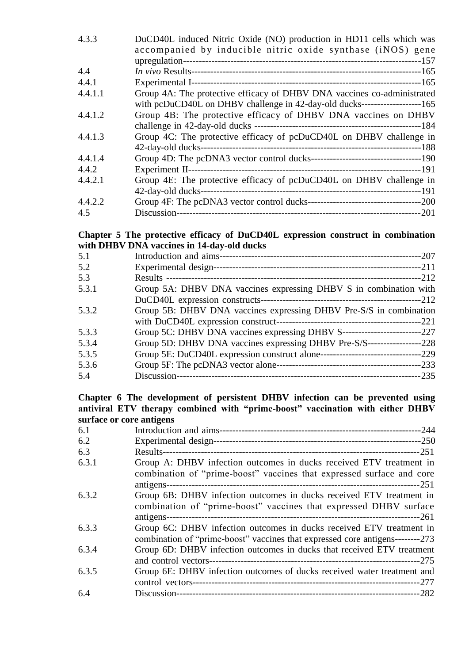| 4.3.3   | DuCD40L induced Nitric Oxide (NO) production in HD11 cells which was              |
|---------|-----------------------------------------------------------------------------------|
|         | accompanied by inducible nitric oxide synthase (iNOS) gene                        |
|         |                                                                                   |
| 4.4     |                                                                                   |
| 4.4.1   |                                                                                   |
| 4.4.1.1 | Group 4A: The protective efficacy of DHBV DNA vaccines co-administrated           |
|         | with pcDuCD40L on DHBV challenge in 42-day-old ducks--------------------------165 |
| 4.4.1.2 | Group 4B: The protective efficacy of DHBV DNA vaccines on DHBV                    |
|         |                                                                                   |
| 4.4.1.3 | Group 4C: The protective efficacy of pcDuCD40L on DHBV challenge in               |
|         |                                                                                   |
| 4.4.1.4 |                                                                                   |
| 4.4.2   |                                                                                   |
| 4.4.2.1 | Group 4E: The protective efficacy of pcDuCD40L on DHBV challenge in               |
|         |                                                                                   |
| 4.4.2.2 |                                                                                   |
| 4.5     |                                                                                   |

#### **Chapter 5 The protective efficacy of DuCD40L expression construct in combination with DHBV DNA vaccines in 14-day-old ducks**

| 5.1   |                                                                    |  |
|-------|--------------------------------------------------------------------|--|
| 5.2   |                                                                    |  |
| 5.3   |                                                                    |  |
| 5.3.1 | Group 5A: DHBV DNA vaccines expressing DHBV S in combination with  |  |
|       |                                                                    |  |
| 5.3.2 | Group 5B: DHBV DNA vaccines expressing DHBV Pre-S/S in combination |  |
|       |                                                                    |  |
| 5.3.3 |                                                                    |  |
| 5.3.4 |                                                                    |  |
| 5.3.5 |                                                                    |  |
| 5.3.6 |                                                                    |  |
| 5.4   |                                                                    |  |

#### **Chapter 6 The development of persistent DHBV infection can be prevented using antiviral ETV therapy combined with "prime-boost" vaccination with either DHBV surface or core antigens**

| 6.1   |                                                                                |
|-------|--------------------------------------------------------------------------------|
| 6.2   |                                                                                |
| 6.3   |                                                                                |
| 6.3.1 | Group A: DHBV infection outcomes in ducks received ETV treatment in            |
|       | combination of "prime-boost" vaccines that expressed surface and core          |
| 6.3.2 | Group 6B: DHBV infection outcomes in ducks received ETV treatment in           |
|       | combination of "prime-boost" vaccines that expressed DHBV surface              |
|       |                                                                                |
| 6.3.3 | Group 6C: DHBV infection outcomes in ducks received ETV treatment in           |
|       | combination of "prime-boost" vaccines that expressed core antigens---------273 |
| 6.3.4 | Group 6D: DHBV infection outcomes in ducks that received ETV treatment         |
|       |                                                                                |
| 6.3.5 | Group 6E: DHBV infection outcomes of ducks received water treatment and        |
|       |                                                                                |
| 6.4   |                                                                                |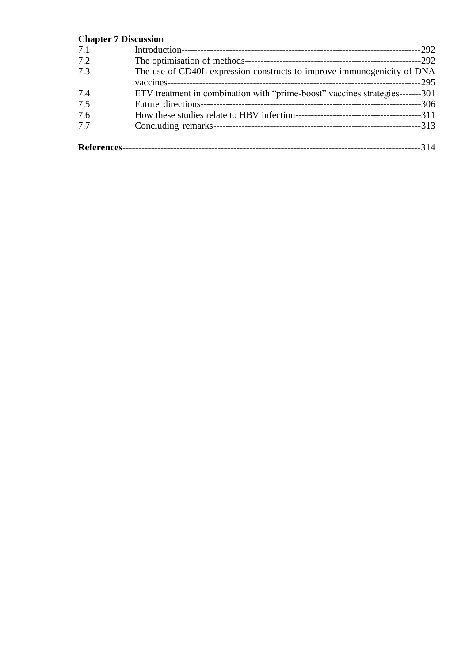### **Chapter 7 Discussion**

| 7.1         |                                                                               |      |
|-------------|-------------------------------------------------------------------------------|------|
| 7.2         |                                                                               |      |
| 7.3         | The use of CD40L expression constructs to improve immunogenicity of DNA       |      |
|             |                                                                               |      |
| 7.4         | ETV treatment in combination with "prime-boost" vaccines strategies-------301 |      |
| 7.5         |                                                                               |      |
| 7.6         |                                                                               |      |
| 7.7         |                                                                               |      |
| References- |                                                                               | -314 |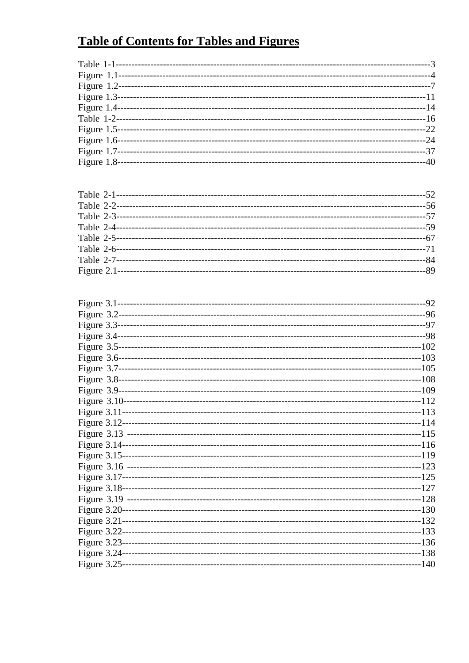## **Table of Contents for Tables and Figures**

| Figure $1.8$ - | $-40$ |
|----------------|-------|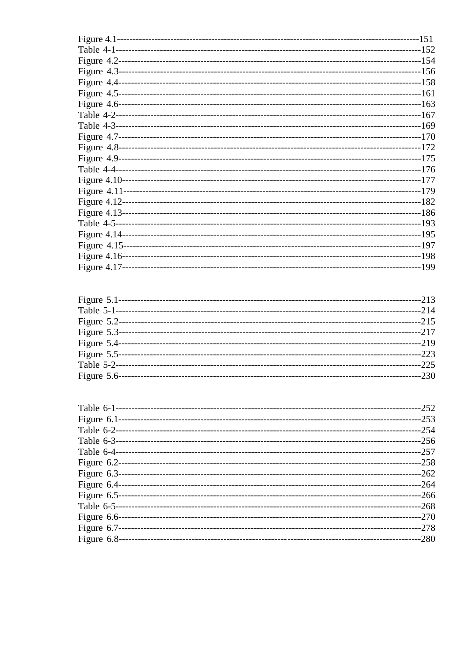|                  | $-213$       |
|------------------|--------------|
|                  | $-214$       |
| Figure $5.2$ --- |              |
| Figure 5.3---    | $-217$       |
|                  | ---------219 |
|                  | $-223$       |
| Table 5-2-----   | $-225$       |
| Figure 5.6-      | $-230$       |
|                  |              |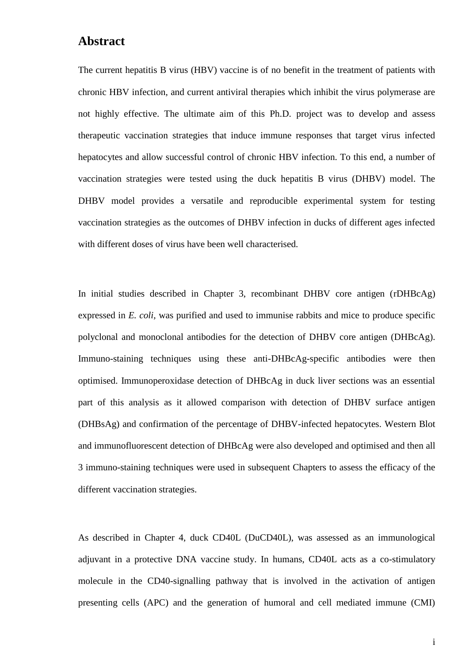### **Abstract**

The current hepatitis B virus (HBV) vaccine is of no benefit in the treatment of patients with chronic HBV infection, and current antiviral therapies which inhibit the virus polymerase are not highly effective. The ultimate aim of this Ph.D. project was to develop and assess therapeutic vaccination strategies that induce immune responses that target virus infected hepatocytes and allow successful control of chronic HBV infection. To this end, a number of vaccination strategies were tested using the duck hepatitis B virus (DHBV) model. The DHBV model provides a versatile and reproducible experimental system for testing vaccination strategies as the outcomes of DHBV infection in ducks of different ages infected with different doses of virus have been well characterised.

In initial studies described in Chapter 3, recombinant DHBV core antigen (rDHBcAg) expressed in *E. coli,* was purified and used to immunise rabbits and mice to produce specific polyclonal and monoclonal antibodies for the detection of DHBV core antigen (DHBcAg). Immuno-staining techniques using these anti-DHBcAg-specific antibodies were then optimised. Immunoperoxidase detection of DHBcAg in duck liver sections was an essential part of this analysis as it allowed comparison with detection of DHBV surface antigen (DHBsAg) and confirmation of the percentage of DHBV-infected hepatocytes. Western Blot and immunofluorescent detection of DHBcAg were also developed and optimised and then all 3 immuno-staining techniques were used in subsequent Chapters to assess the efficacy of the different vaccination strategies.

As described in Chapter 4, duck CD40L (DuCD40L), was assessed as an immunological adjuvant in a protective DNA vaccine study. In humans, CD40L acts as a co-stimulatory molecule in the CD40-signalling pathway that is involved in the activation of antigen presenting cells (APC) and the generation of humoral and cell mediated immune (CMI)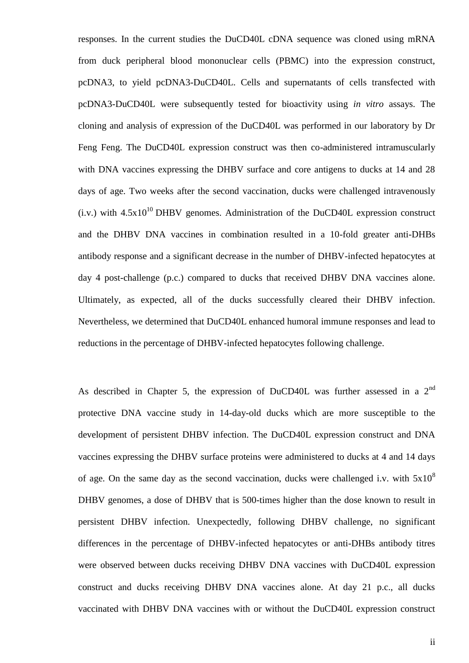responses. In the current studies the DuCD40L cDNA sequence was cloned using mRNA from duck peripheral blood mononuclear cells (PBMC) into the expression construct, pcDNA3, to yield pcDNA3-DuCD40L. Cells and supernatants of cells transfected with pcDNA3-DuCD40L were subsequently tested for bioactivity using *in vitro* assays. The cloning and analysis of expression of the DuCD40L was performed in our laboratory by Dr Feng Feng. The DuCD40L expression construct was then co-administered intramuscularly with DNA vaccines expressing the DHBV surface and core antigens to ducks at 14 and 28 days of age. Two weeks after the second vaccination, ducks were challenged intravenously  $(i.v.)$  with  $4.5x10^{10}$  DHBV genomes. Administration of the DuCD40L expression construct and the DHBV DNA vaccines in combination resulted in a 10-fold greater anti-DHBs antibody response and a significant decrease in the number of DHBV-infected hepatocytes at day 4 post-challenge (p.c.) compared to ducks that received DHBV DNA vaccines alone. Ultimately, as expected, all of the ducks successfully cleared their DHBV infection. Nevertheless, we determined that DuCD40L enhanced humoral immune responses and lead to reductions in the percentage of DHBV-infected hepatocytes following challenge.

As described in Chapter 5, the expression of DuCD40L was further assessed in a  $2<sup>nd</sup>$ protective DNA vaccine study in 14-day-old ducks which are more susceptible to the development of persistent DHBV infection. The DuCD40L expression construct and DNA vaccines expressing the DHBV surface proteins were administered to ducks at 4 and 14 days of age. On the same day as the second vaccination, ducks were challenged i.v. with  $5x10^8$ DHBV genomes, a dose of DHBV that is 500-times higher than the dose known to result in persistent DHBV infection. Unexpectedly, following DHBV challenge, no significant differences in the percentage of DHBV-infected hepatocytes or anti-DHBs antibody titres were observed between ducks receiving DHBV DNA vaccines with DuCD40L expression construct and ducks receiving DHBV DNA vaccines alone. At day 21 p.c., all ducks vaccinated with DHBV DNA vaccines with or without the DuCD40L expression construct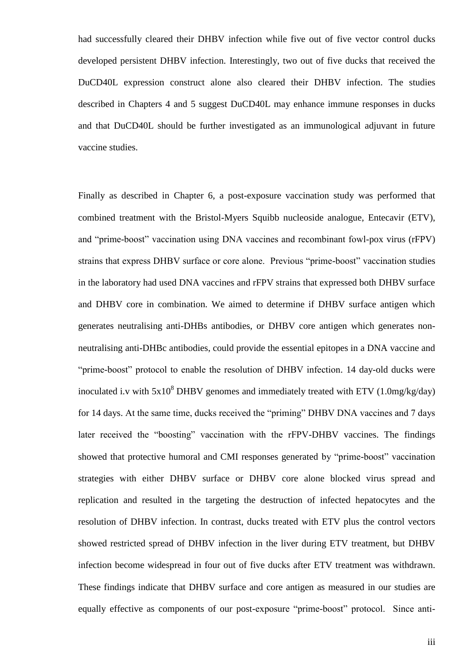had successfully cleared their DHBV infection while five out of five vector control ducks developed persistent DHBV infection. Interestingly, two out of five ducks that received the DuCD40L expression construct alone also cleared their DHBV infection. The studies described in Chapters 4 and 5 suggest DuCD40L may enhance immune responses in ducks and that DuCD40L should be further investigated as an immunological adjuvant in future vaccine studies.

Finally as described in Chapter 6, a post-exposure vaccination study was performed that combined treatment with the Bristol-Myers Squibb nucleoside analogue, Entecavir (ETV), and "prime-boost" vaccination using DNA vaccines and recombinant fowl-pox virus (rFPV) strains that express DHBV surface or core alone. Previous "prime-boost" vaccination studies in the laboratory had used DNA vaccines and rFPV strains that expressed both DHBV surface and DHBV core in combination. We aimed to determine if DHBV surface antigen which generates neutralising anti-DHBs antibodies, or DHBV core antigen which generates nonneutralising anti-DHBc antibodies, could provide the essential epitopes in a DNA vaccine and "prime-boost" protocol to enable the resolution of DHBV infection. 14 day-old ducks were inoculated i.v with  $5x10^8$  DHBV genomes and immediately treated with ETV (1.0mg/kg/day) for 14 days. At the same time, ducks received the "priming" DHBV DNA vaccines and 7 days later received the "boosting" vaccination with the rFPV-DHBV vaccines. The findings showed that protective humoral and CMI responses generated by "prime-boost" vaccination strategies with either DHBV surface or DHBV core alone blocked virus spread and replication and resulted in the targeting the destruction of infected hepatocytes and the resolution of DHBV infection. In contrast, ducks treated with ETV plus the control vectors showed restricted spread of DHBV infection in the liver during ETV treatment, but DHBV infection become widespread in four out of five ducks after ETV treatment was withdrawn. These findings indicate that DHBV surface and core antigen as measured in our studies are equally effective as components of our post-exposure "prime-boost" protocol. Since anti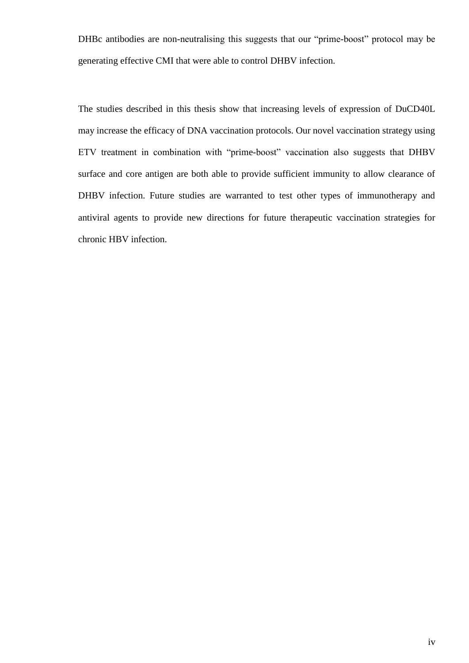DHBc antibodies are non-neutralising this suggests that our "prime-boost" protocol may be generating effective CMI that were able to control DHBV infection.

The studies described in this thesis show that increasing levels of expression of DuCD40L may increase the efficacy of DNA vaccination protocols. Our novel vaccination strategy using ETV treatment in combination with "prime-boost" vaccination also suggests that DHBV surface and core antigen are both able to provide sufficient immunity to allow clearance of DHBV infection. Future studies are warranted to test other types of immunotherapy and antiviral agents to provide new directions for future therapeutic vaccination strategies for chronic HBV infection.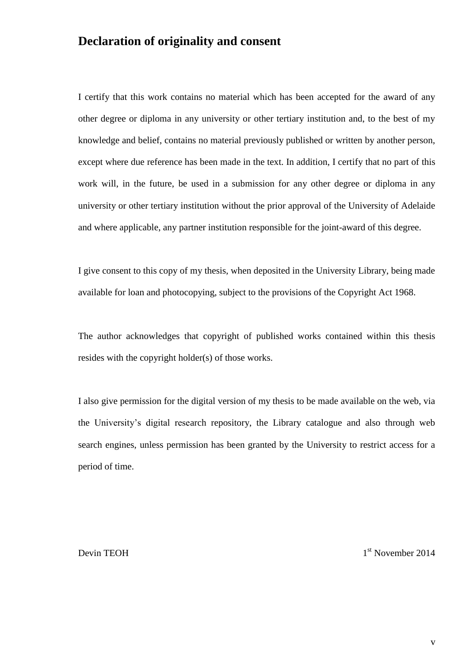### **Declaration of originality and consent**

I certify that this work contains no material which has been accepted for the award of any other degree or diploma in any university or other tertiary institution and, to the best of my knowledge and belief, contains no material previously published or written by another person, except where due reference has been made in the text. In addition, I certify that no part of this work will, in the future, be used in a submission for any other degree or diploma in any university or other tertiary institution without the prior approval of the University of Adelaide and where applicable, any partner institution responsible for the joint-award of this degree.

I give consent to this copy of my thesis, when deposited in the University Library, being made available for loan and photocopying, subject to the provisions of the Copyright Act 1968.

The author acknowledges that copyright of published works contained within this thesis resides with the copyright holder(s) of those works.

I also give permission for the digital version of my thesis to be made available on the web, via the University's digital research repository, the Library catalogue and also through web search engines, unless permission has been granted by the University to restrict access for a period of time.

Devin TEOH 1

1<sup>st</sup> November 2014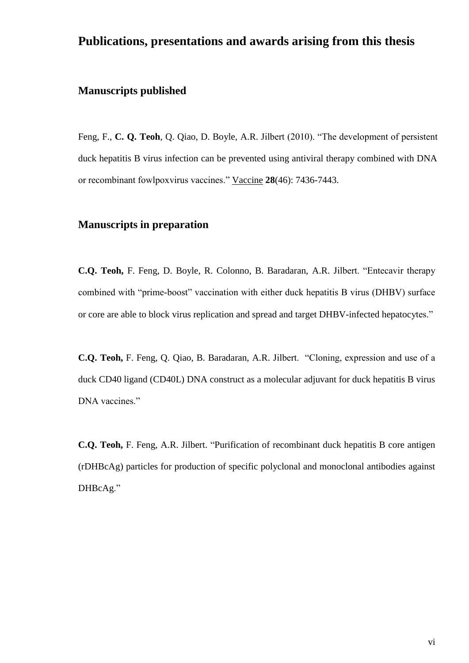### **Publications, presentations and awards arising from this thesis**

### **Manuscripts published**

Feng, F., **C. Q. Teoh**, Q. Qiao, D. Boyle, A.R. Jilbert (2010). "The development of persistent duck hepatitis B virus infection can be prevented using antiviral therapy combined with DNA or recombinant fowlpoxvirus vaccines." Vaccine **28**(46): 7436-7443.

### **Manuscripts in preparation**

**C.Q. Teoh,** F. Feng, D. Boyle, R. Colonno, B. Baradaran, A.R. Jilbert. "Entecavir therapy combined with "prime-boost" vaccination with either duck hepatitis B virus (DHBV) surface or core are able to block virus replication and spread and target DHBV-infected hepatocytes."

**C.Q. Teoh,** F. Feng, Q. Qiao, B. Baradaran, A.R. Jilbert. "Cloning, expression and use of a duck CD40 ligand (CD40L) DNA construct as a molecular adjuvant for duck hepatitis B virus DNA vaccines."

**C.Q. Teoh,** F. Feng, A.R. Jilbert. "Purification of recombinant duck hepatitis B core antigen (rDHBcAg) particles for production of specific polyclonal and monoclonal antibodies against DHBcAg."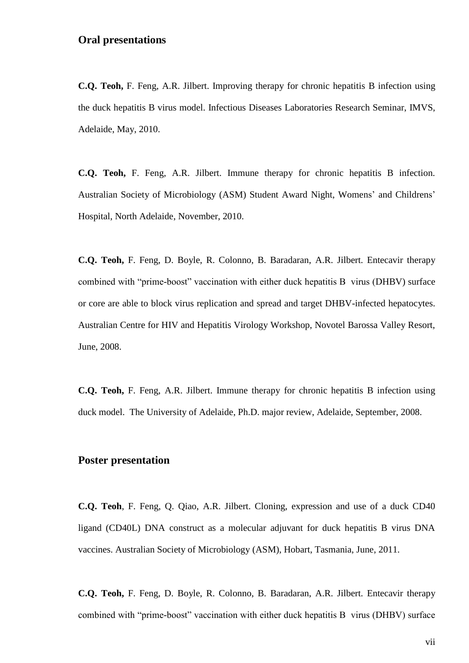### **Oral presentations**

**C.Q. Teoh,** F. Feng, A.R. Jilbert. Improving therapy for chronic hepatitis B infection using the duck hepatitis B virus model. Infectious Diseases Laboratories Research Seminar, IMVS, Adelaide, May, 2010.

**C.Q. Teoh,** F. Feng, A.R. Jilbert. Immune therapy for chronic hepatitis B infection. Australian Society of Microbiology (ASM) Student Award Night, Womens' and Childrens' Hospital, North Adelaide, November, 2010.

**C.Q. Teoh,** F. Feng, D. Boyle, R. Colonno, B. Baradaran, A.R. Jilbert. Entecavir therapy combined with "prime-boost" vaccination with either duck hepatitis B virus (DHBV) surface or core are able to block virus replication and spread and target DHBV-infected hepatocytes. Australian Centre for HIV and Hepatitis Virology Workshop, Novotel Barossa Valley Resort, June, 2008.

**C.Q. Teoh,** F. Feng, A.R. Jilbert. Immune therapy for chronic hepatitis B infection using duck model. The University of Adelaide, Ph.D. major review, Adelaide, September, 2008.

#### **Poster presentation**

**C.Q. Teoh**, F. Feng, Q. Qiao, A.R. Jilbert. Cloning, expression and use of a duck CD40 ligand (CD40L) DNA construct as a molecular adjuvant for duck hepatitis B virus DNA vaccines. Australian Society of Microbiology (ASM), Hobart, Tasmania, June, 2011.

**C.Q. Teoh,** F. Feng, D. Boyle, R. Colonno, B. Baradaran, A.R. Jilbert. Entecavir therapy combined with "prime-boost" vaccination with either duck hepatitis B virus (DHBV) surface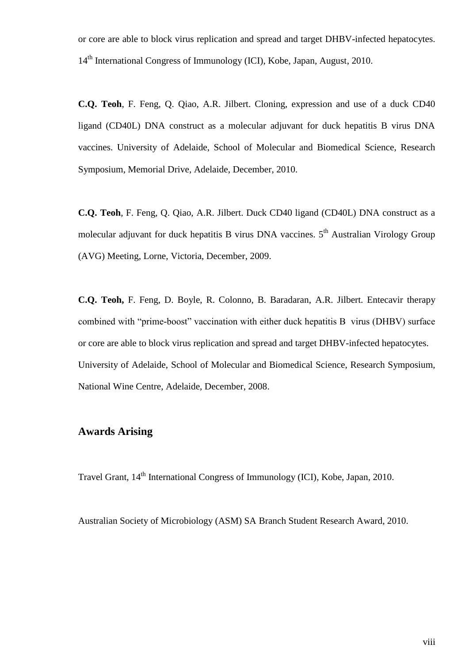or core are able to block virus replication and spread and target DHBV-infected hepatocytes. 14<sup>th</sup> International Congress of Immunology (ICI), Kobe, Japan, August, 2010.

**C.Q. Teoh**, F. Feng, Q. Qiao, A.R. Jilbert. Cloning, expression and use of a duck CD40 ligand (CD40L) DNA construct as a molecular adjuvant for duck hepatitis B virus DNA vaccines. University of Adelaide, School of Molecular and Biomedical Science, Research Symposium, Memorial Drive, Adelaide, December, 2010.

**C.Q. Teoh**, F. Feng, Q. Qiao, A.R. Jilbert. Duck CD40 ligand (CD40L) DNA construct as a molecular adjuvant for duck hepatitis B virus DNA vaccines. 5<sup>th</sup> Australian Virology Group (AVG) Meeting, Lorne, Victoria, December, 2009.

**C.Q. Teoh,** F. Feng, D. Boyle, R. Colonno, B. Baradaran, A.R. Jilbert. Entecavir therapy combined with "prime-boost" vaccination with either duck hepatitis B virus (DHBV) surface or core are able to block virus replication and spread and target DHBV-infected hepatocytes. University of Adelaide, School of Molecular and Biomedical Science, Research Symposium, National Wine Centre, Adelaide, December, 2008.

### **Awards Arising**

Travel Grant, 14<sup>th</sup> International Congress of Immunology (ICI), Kobe, Japan, 2010.

Australian Society of Microbiology (ASM) SA Branch Student Research Award, 2010.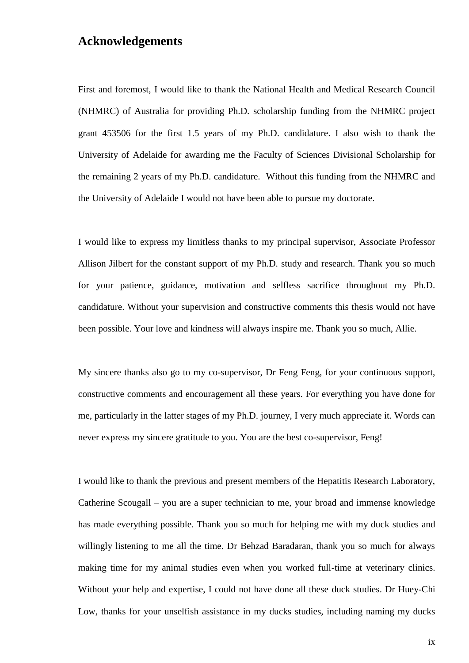### **Acknowledgements**

First and foremost, I would like to thank the National Health and Medical Research Council (NHMRC) of Australia for providing Ph.D. scholarship funding from the NHMRC project grant 453506 for the first 1.5 years of my Ph.D. candidature. I also wish to thank the University of Adelaide for awarding me the Faculty of Sciences Divisional Scholarship for the remaining 2 years of my Ph.D. candidature. Without this funding from the NHMRC and the University of Adelaide I would not have been able to pursue my doctorate.

I would like to express my limitless thanks to my principal supervisor, Associate Professor Allison Jilbert for the constant support of my Ph.D. study and research. Thank you so much for your patience, guidance, motivation and selfless sacrifice throughout my Ph.D. candidature. Without your supervision and constructive comments this thesis would not have been possible. Your love and kindness will always inspire me. Thank you so much, Allie.

My sincere thanks also go to my co-supervisor, Dr Feng Feng, for your continuous support, constructive comments and encouragement all these years. For everything you have done for me, particularly in the latter stages of my Ph.D. journey, I very much appreciate it. Words can never express my sincere gratitude to you. You are the best co-supervisor, Feng!

I would like to thank the previous and present members of the Hepatitis Research Laboratory, Catherine Scougall – you are a super technician to me, your broad and immense knowledge has made everything possible. Thank you so much for helping me with my duck studies and willingly listening to me all the time. Dr Behzad Baradaran, thank you so much for always making time for my animal studies even when you worked full-time at veterinary clinics. Without your help and expertise, I could not have done all these duck studies. Dr Huey-Chi Low, thanks for your unselfish assistance in my ducks studies, including naming my ducks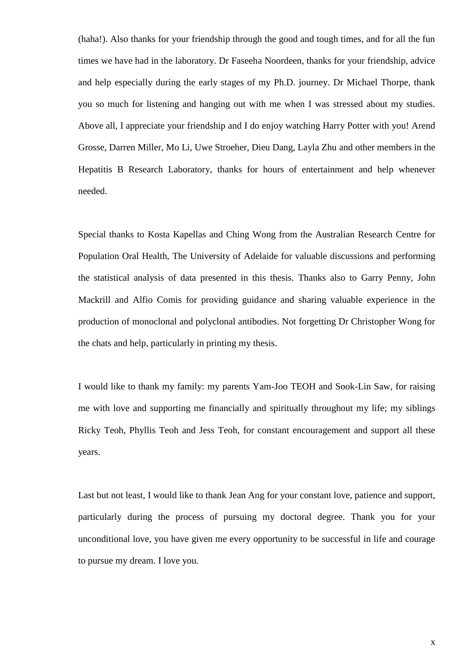(haha!). Also thanks for your friendship through the good and tough times, and for all the fun times we have had in the laboratory. Dr Faseeha Noordeen, thanks for your friendship, advice and help especially during the early stages of my Ph.D. journey. Dr Michael Thorpe, thank you so much for listening and hanging out with me when I was stressed about my studies. Above all, I appreciate your friendship and I do enjoy watching Harry Potter with you! Arend Grosse, Darren Miller, Mo Li, Uwe Stroeher, Dieu Dang, Layla Zhu and other members in the Hepatitis B Research Laboratory, thanks for hours of entertainment and help whenever needed.

Special thanks to Kosta Kapellas and Ching Wong from the Australian Research Centre for Population Oral Health, The University of Adelaide for valuable discussions and performing the statistical analysis of data presented in this thesis. Thanks also to Garry Penny, John Mackrill and Alfio Comis for providing guidance and sharing valuable experience in the production of monoclonal and polyclonal antibodies. Not forgetting Dr Christopher Wong for the chats and help, particularly in printing my thesis.

I would like to thank my family: my parents Yam-Joo TEOH and Sook-Lin Saw, for raising me with love and supporting me financially and spiritually throughout my life; my siblings Ricky Teoh, Phyllis Teoh and Jess Teoh, for constant encouragement and support all these years.

Last but not least, I would like to thank Jean Ang for your constant love, patience and support, particularly during the process of pursuing my doctoral degree. Thank you for your unconditional love, you have given me every opportunity to be successful in life and courage to pursue my dream. I love you.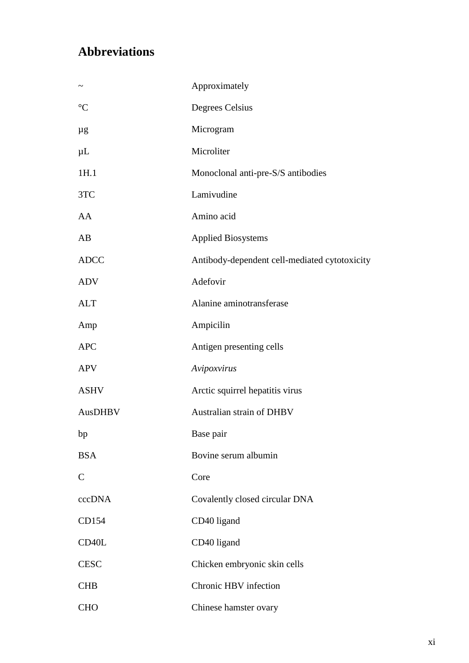## **Abbreviations**

|                    | Approximately                                 |
|--------------------|-----------------------------------------------|
| $\mathfrak{C}$     | Degrees Celsius                               |
| μg                 | Microgram                                     |
| $\mu$ L            | Microliter                                    |
| 1H.1               | Monoclonal anti-pre-S/S antibodies            |
| 3TC                | Lamivudine                                    |
| AA                 | Amino acid                                    |
| AB                 | <b>Applied Biosystems</b>                     |
| <b>ADCC</b>        | Antibody-dependent cell-mediated cytotoxicity |
| <b>ADV</b>         | Adefovir                                      |
| <b>ALT</b>         | Alanine aminotransferase                      |
| Amp                | Ampicilin                                     |
| <b>APC</b>         | Antigen presenting cells                      |
| <b>APV</b>         | Avipoxvirus                                   |
| <b>ASHV</b>        | Arctic squirrel hepatitis virus               |
| AusDHBV            | Australian strain of DHBV                     |
| bp                 | Base pair                                     |
| <b>BSA</b>         | Bovine serum albumin                          |
| $\mathbf C$        | Core                                          |
| cccDNA             | Covalently closed circular DNA                |
| CD154              | CD40 ligand                                   |
| CD <sub>40</sub> L | CD40 ligand                                   |
| <b>CESC</b>        | Chicken embryonic skin cells                  |
| <b>CHB</b>         | Chronic HBV infection                         |
| <b>CHO</b>         | Chinese hamster ovary                         |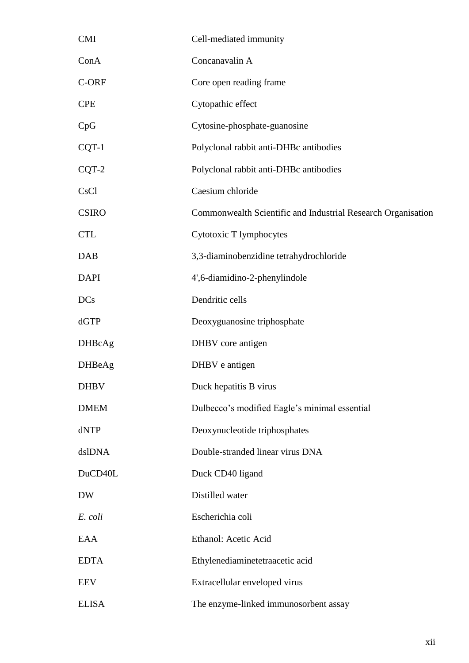| <b>CMI</b>    | Cell-mediated immunity                                       |
|---------------|--------------------------------------------------------------|
| ConA          | Concanavalin A                                               |
| C-ORF         | Core open reading frame                                      |
| <b>CPE</b>    | Cytopathic effect                                            |
| CpG           | Cytosine-phosphate-guanosine                                 |
| CQT-1         | Polyclonal rabbit anti-DHBc antibodies                       |
| CQT-2         | Polyclonal rabbit anti-DHBc antibodies                       |
| CsCl          | Caesium chloride                                             |
| <b>CSIRO</b>  | Commonwealth Scientific and Industrial Research Organisation |
| <b>CTL</b>    | Cytotoxic T lymphocytes                                      |
| <b>DAB</b>    | 3,3-diaminobenzidine tetrahydrochloride                      |
| <b>DAPI</b>   | 4',6-diamidino-2-phenylindole                                |
| <b>DCs</b>    | Dendritic cells                                              |
| dGTP          | Deoxyguanosine triphosphate                                  |
| <b>DHBcAg</b> | DHBV core antigen                                            |
| <b>DHBeAg</b> | DHBV e antigen                                               |
| <b>DHBV</b>   | Duck hepatitis B virus                                       |
| <b>DMEM</b>   | Dulbecco's modified Eagle's minimal essential                |
| dNTP          | Deoxynucleotide triphosphates                                |
| dslDNA        | Double-stranded linear virus DNA                             |
| DuCD40L       | Duck CD40 ligand                                             |
| <b>DW</b>     | Distilled water                                              |
| E. coli       | Escherichia coli                                             |
| EAA           | Ethanol: Acetic Acid                                         |
| <b>EDTA</b>   | Ethylenediaminetetraacetic acid                              |
| <b>EEV</b>    | Extracellular enveloped virus                                |
| <b>ELISA</b>  | The enzyme-linked immunosorbent assay                        |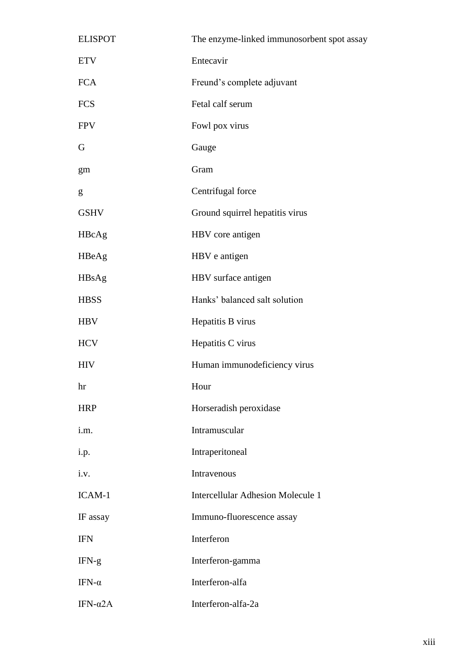| <b>ELISPOT</b>   | The enzyme-linked immunosorbent spot assay |
|------------------|--------------------------------------------|
| <b>ETV</b>       | Entecavir                                  |
| <b>FCA</b>       | Freund's complete adjuvant                 |
| <b>FCS</b>       | Fetal calf serum                           |
| <b>FPV</b>       | Fowl pox virus                             |
| G                | Gauge                                      |
| gm               | Gram                                       |
| g                | Centrifugal force                          |
| <b>GSHV</b>      | Ground squirrel hepatitis virus            |
| HBcAg            | HBV core antigen                           |
| HBeAg            | HBV e antigen                              |
| HBsAg            | HBV surface antigen                        |
| <b>HBSS</b>      | Hanks' balanced salt solution              |
| <b>HBV</b>       | Hepatitis B virus                          |
| <b>HCV</b>       | Hepatitis C virus                          |
| <b>HIV</b>       | Human immunodeficiency virus               |
| hr               | Hour                                       |
| <b>HRP</b>       | Horseradish peroxidase                     |
| i.m.             | Intramuscular                              |
| i.p.             | Intraperitoneal                            |
| i.v.             | Intravenous                                |
| ICAM-1           | <b>Intercellular Adhesion Molecule 1</b>   |
| IF assay         | Immuno-fluorescence assay                  |
| <b>IFN</b>       | Interferon                                 |
| $IFN-g$          | Interferon-gamma                           |
| IFN- $\alpha$    | Interferon-alfa                            |
| IFN- $\alpha$ 2A | Interferon-alfa-2a                         |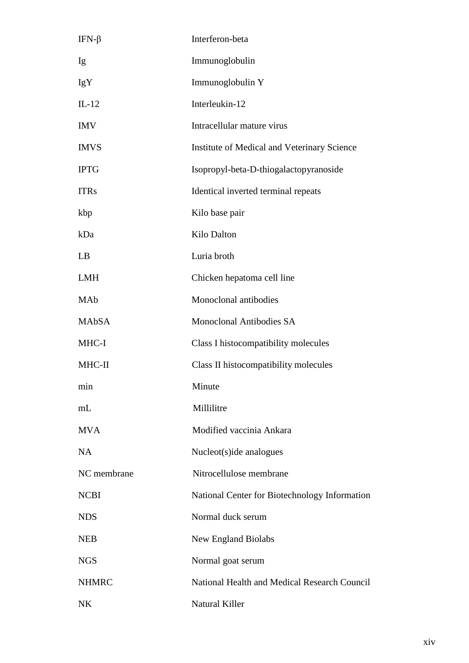| IFN- $\beta$ | Interferon-beta                               |
|--------------|-----------------------------------------------|
| Ig           | Immunoglobulin                                |
| <b>IgY</b>   | Immunoglobulin Y                              |
| $IL-12$      | Interleukin-12                                |
| <b>IMV</b>   | Intracellular mature virus                    |
| <b>IMVS</b>  | Institute of Medical and Veterinary Science   |
| <b>IPTG</b>  | Isopropyl-beta-D-thiogalactopyranoside        |
| <b>ITRs</b>  | Identical inverted terminal repeats           |
| kbp          | Kilo base pair                                |
| kDa          | Kilo Dalton                                   |
| LB           | Luria broth                                   |
| <b>LMH</b>   | Chicken hepatoma cell line                    |
| MAb          | Monoclonal antibodies                         |
| <b>MAbSA</b> | <b>Monoclonal Antibodies SA</b>               |
| MHC-I        | Class I histocompatibility molecules          |
| MHC-II       | Class II histocompatibility molecules         |
| min          | Minute                                        |
| mL           | Millilitre                                    |
| <b>MVA</b>   | Modified vaccinia Ankara                      |
| NA           | Nucleot(s)ide analogues                       |
| NC membrane  | Nitrocellulose membrane                       |
| <b>NCBI</b>  | National Center for Biotechnology Information |
| <b>NDS</b>   | Normal duck serum                             |
| <b>NEB</b>   | <b>New England Biolabs</b>                    |
| <b>NGS</b>   | Normal goat serum                             |
| <b>NHMRC</b> | National Health and Medical Research Council  |
| NK           | Natural Killer                                |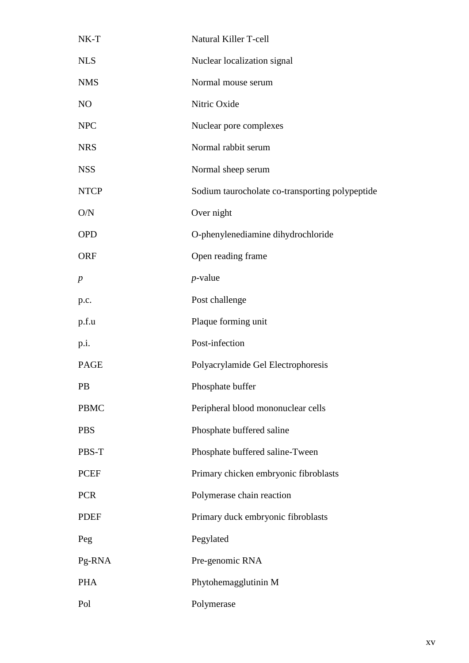| $NK-T$           | Natural Killer T-cell                           |
|------------------|-------------------------------------------------|
| <b>NLS</b>       | Nuclear localization signal                     |
| <b>NMS</b>       | Normal mouse serum                              |
| N <sub>O</sub>   | Nitric Oxide                                    |
| <b>NPC</b>       | Nuclear pore complexes                          |
| <b>NRS</b>       | Normal rabbit serum                             |
| <b>NSS</b>       | Normal sheep serum                              |
| <b>NTCP</b>      | Sodium taurocholate co-transporting polypeptide |
| O/N              | Over night                                      |
| <b>OPD</b>       | O-phenylenediamine dihydrochloride              |
| <b>ORF</b>       | Open reading frame                              |
| $\boldsymbol{p}$ | $p$ -value                                      |
| p.c.             | Post challenge                                  |
| p.f.u            | Plaque forming unit                             |
| p.i.             | Post-infection                                  |
| <b>PAGE</b>      | Polyacrylamide Gel Electrophoresis              |
| PB               | Phosphate buffer                                |
| <b>PBMC</b>      | Peripheral blood mononuclear cells              |
| <b>PBS</b>       | Phosphate buffered saline                       |
| PBS-T            | Phosphate buffered saline-Tween                 |
| <b>PCEF</b>      | Primary chicken embryonic fibroblasts           |
| <b>PCR</b>       | Polymerase chain reaction                       |
| <b>PDEF</b>      | Primary duck embryonic fibroblasts              |
| Peg              | Pegylated                                       |
| Pg-RNA           | Pre-genomic RNA                                 |
| <b>PHA</b>       | Phytohemagglutinin M                            |
| Pol              | Polymerase                                      |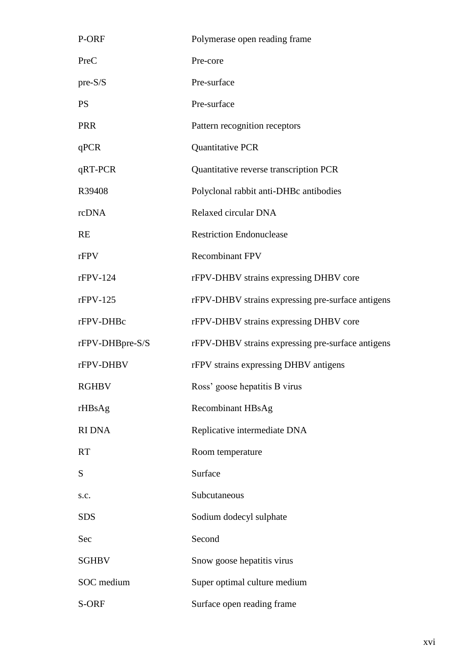| P-ORF           | Polymerase open reading frame                     |
|-----------------|---------------------------------------------------|
| PreC            | Pre-core                                          |
| $pre-S/S$       | Pre-surface                                       |
| <b>PS</b>       | Pre-surface                                       |
| <b>PRR</b>      | Pattern recognition receptors                     |
| qPCR            | Quantitative PCR                                  |
| qRT-PCR         | Quantitative reverse transcription PCR            |
| R39408          | Polyclonal rabbit anti-DHBc antibodies            |
| rcDNA           | Relaxed circular DNA                              |
| <b>RE</b>       | <b>Restriction Endonuclease</b>                   |
| rFPV            | <b>Recombinant FPV</b>                            |
| $rFPV-124$      | rFPV-DHBV strains expressing DHBV core            |
| $rFPV-125$      | rFPV-DHBV strains expressing pre-surface antigens |
| rFPV-DHBc       | rFPV-DHBV strains expressing DHBV core            |
| rFPV-DHBpre-S/S | rFPV-DHBV strains expressing pre-surface antigens |
| rFPV-DHBV       | rFPV strains expressing DHBV antigens             |
| <b>RGHBV</b>    | Ross' goose hepatitis B virus                     |
| rHBsAg          | <b>Recombinant HBsAg</b>                          |
| <b>RIDNA</b>    | Replicative intermediate DNA                      |
| <b>RT</b>       | Room temperature                                  |
| S               | Surface                                           |
| s.c.            | Subcutaneous                                      |
| <b>SDS</b>      | Sodium dodecyl sulphate                           |
| Sec             | Second                                            |
| <b>SGHBV</b>    | Snow goose hepatitis virus                        |
| SOC medium      | Super optimal culture medium                      |
| S-ORF           | Surface open reading frame                        |